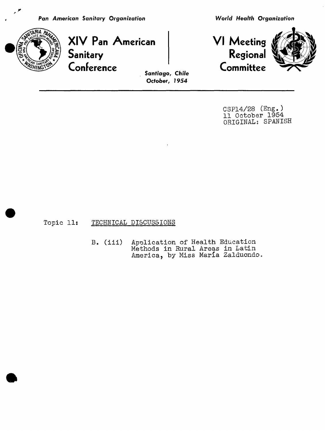

**XIV PanAm**e**rican VI Meeting**\_\_\_  $\epsilon$ **Sanitary Regional Regional Regional Regional Regional Regional Regional Conference Comm**i**ttee** Santi**a**g**o**, Chil**e**



CSP14/28 (Eng.) ll October 1954 ORIGINAL: SPANISH

Topic 11: TECHNICAL DISCUSSIONS

B. (111) Apolication of Health Education Methods in Rural Areas in Latin America, by Miss María Zalduondo.

**Oc**t**o**be**r**, 1**9**54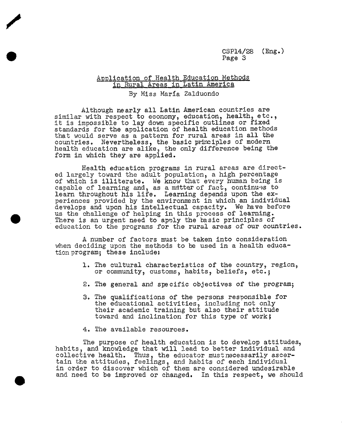## Application of Health Education Methods in Rural Areas in Latin America

By Miss Maria Zalduondo

Although nearly all Latin American countries are similar with respect to economy, education, health, etc., it is impossible to lay down specific outlines or fixed standards for the application of health education methods that would serve as a pattern for rural areas in all the countries. Nevertheless, the basic principles of modern health education are alike, the only difference being the form in which they are applied.

Health education programs in rural areas are directed largely toward the adult population, a high percentage of which is illiterate. We know that every human being is capable of learning and, as a m\_ttarof fact, continues to learn throughout his life. Learning depends upon the experiences provided by the environment in which an individual develops and upon his intellectual capacity. We have before us the challenge of helping in this process of learning. There is an urgent need to apoly the basic principles of education to the programs for the rural areas of our countries.

A number of factors must be taken into consideration when deciding upon the methods to be used in a health education program; these include:

- 1. The cultural characteristics of the country, region, or community, customs, habits, beliefs, etc.;
- 2. The general and specific objectives of the program;
- 3. The qualifications of the persons responsible for the educational activities, including not only their academic training but also their attitude toward and inclination for this type of work;
- 4. The available resources.

The purpose of health education is to develop attitudes, habits, and knowledge that will lead to better individual and collective health. Thus, the educator must necessarily ascertain the attitudes, feelings, and habits of each individual in order to discover which of them are considered undesirabl and need to be improved or changed. In this respect, we should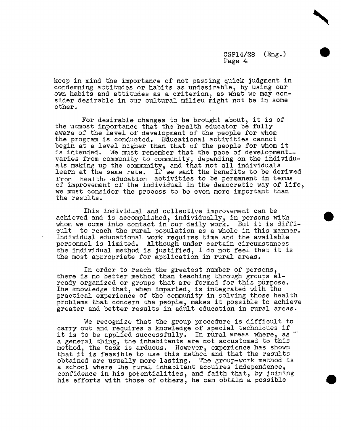keep in mind the importance of not passing quick judgment in condemning attitudes or habits as undesirable\_ by using our own habits and attitudes as a criterion, as what we may consider desirable in our cultural milieu might not be in some other.

For desirable changes to be brought about, it is of the utmost importance that the health educator be fully aware of the level of development of the people for whom the program is conducted. Educational activities cannot begin at a level higher than that of the people for whom it is intended. We must remember that the pace of developmentvaries from community to community, depending on the individuals making up the community, and that not all individuals learn at the same rate. If we want the benefits to be derived from health education activities to be permanent in terms of improvement of the individual in the democratic way of life, we must consider the process to be even more important than the results.

This individual and collective improvement can be achieved and is accomplished, individually, in persons with whom we come into contact in our daily work. But it is difficult to reach the rural population as a whole in this manner. Individual educational work requires time and the available personnel is limited. Although under certain circumstances the individual method is justified\_ I do not feel that it is the most appropriate for application in rural areas.

In order to reach the greatest number of persons, there is no better method than teaching through groups  $a1$ ready organized or groups that are formed for this purpose. The knowledge that, when imparted, is integrated with the practical experience of the community in solving those health problems that concern the people, makes it possible to achieve greater and better results in adult education in rural areas.

We recognize that the group procedure is difficult to carry out and requires a knowledge of special techniques if it is to be applied successfully. In rural areas where, as a general thing, the inhabitants are not accustomed to this method, the task is arduous. However, experience has show that it is feasible to use this method and that the results obtained are usually more lasting. The group-work method is a school where the rural inhabitant acquires independence, confidence in his potentialities, and faith that, by joining his efforts with those of others, he can obtain a possible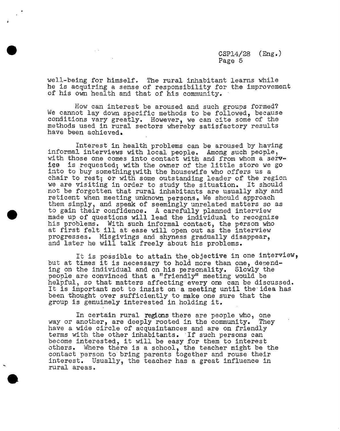well-being for himself. The rural inhabitant learns while he is acquiring a sense of responsibility for the improvement of his own health and that of his community.

How can interest be aroused and such groups formed? We cannot lay down specific methods to be followed, because conditions vary greatly. However, we can cite some of the methods used in rural sectors Whereby satisfactory results have been achieved.

Interest in health problems can be aroused by having informal interviews with local people° Among such people\_ with those one comes into contact with and from whom a servis requested; with the owner of the little store we go into to buy something; with the housewife who offers us a chair to rest; or with some outstanding leader of the region we are visiting in order to study the situation. It should not be forgotten that rural inhabitants are usually shy and reticent when meeting unknown persons. We should approach them simply, and speak of seemingly unrelated matters so as to gain their confidence. A carefully planned interview made up of questions will lead the individual to recognize his problems. With such informal contact, the person who at first felt ill at ease will open out as the interview progresses. Misgivings and shyness gradually disappear, and later he will talk freely about his problems.

It is possible to attain the objective in one interview, but at times it is necessary to hold more than one, depending on the individual and on his personality. Slowly the people are convinced that a "friendly" meeting would be helpful, so that matters affecting every one can be discussed. It is important not to insist on a meeting until the idea has been thought over sufficiently to make one sure that the group is genuinely interested in holding it.

In certain rural regions there are people who, one another, are deeply rooted in the community. They way or another, are deeply rooted in the community. have a wide circle of acquaintances and are on friendly terms with the other inhabitants. If such persons can become interested, it will be easy for them to interest others. Where there is a school, the teacher might be the contact person to bring parents together and rouse their interest. Usually, the teacher has a great influence in rural areas.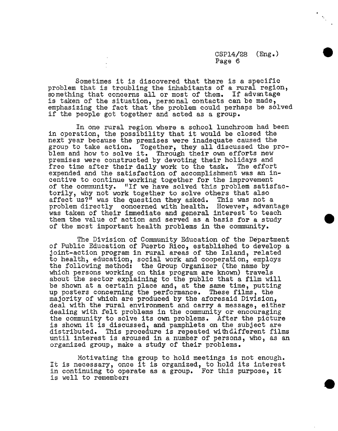%

Sometimes it is discovered that there is a specific problem that is troubling the inh**a**bitants of a rural region, something that concerns all or most of them. If advantage is taken of the situation\_ personal contacts can be m**a**de\_ emphasizing the fact that the problem could perhaps be solved if the people got together and acted as a group.

In one rural region where a school lunchroom had been in operation, the possibility that it would be closed the next year because the premises were inadequate caused the group to take action. Together, they all discussed the problem and how to solve it. Through their own efforts new premises were constructed by devoting their holidays and free time after their daily work to the task. The effort expended and the satisfaction of accomplishment was an incentive to continue working together for the improvement of the community. "If we have solved this problem satisfactorily, why not work together to solve others that also affect us?" was the question they asked. This was not a problem directly concerned with health. However, advantage was taken of their immediate and general interest to teach them the value of action and served as a basis for a study of the most important health problems in the community.

The Division of Community Education of the Department of Public Education of Puerto Rico, established to develop a joint-action program in rural areas of the Island, related to health, education, social work and cooperation, employs the following method: the Group Organizer (the name by which persons working on this program are known) travels about the sector explaining to the public that a film will be shown at a certain place and, at the same time, putting up posters concerning the performance. These films, the majority of which are produced by the aforesaid Division, deal with the rural environment and carry a message, either dealing with felt problems in the community or encouraging the community to solve its own problems. After the picture is shown it is d**i**scussed, and pamphlets on the subject are distributed. This procedure is repeated withd**l**fferent films until interest is aroused in a number of persons, who, as an organized group, make a study of their problems.

Motivating the group to hold meetings is not enough. It is necessary, once it is organized, to hold its interest in continuing to operate as a group. For this purpose, it is well to remember: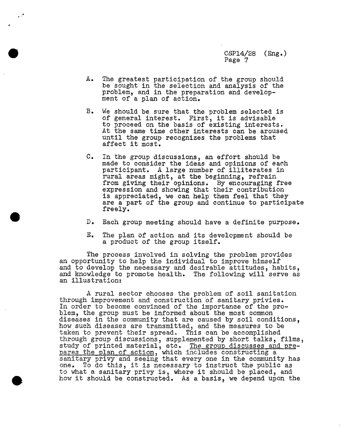A. The greatest participation of the group should be sought in the selection and analysis of the problem, and in the preparation and development of a plan of action.

 $\cdot$   $\cdot$ 

- B. We should be sure that the problem selected is of general interest. First, it is advisable to proceed on the basis of existing interests. At the same time other interests can be aroused until the group recognizes the problems that affect it most.
- C. In the group discussions, an effort should be made to consider the ideas and opinions of each participant. A large number of illiterates in rural areas might, at the beginning, refrain from giving their opinions. By encouraging free expression and showing that their contribution is appreciated, we can help them feel that they are a part of the group and continue to participate freely.
- D. Each group meeting should have a definite purpose.
- E. The plan of action and its development should be a product of the group itself.

The process involved in solving the problem provides an opportunity to help the individual to improve himself and to develop the necessary and desirable attitudes, habits, and knowledge to promote health. The following will serve as an illustrations

A rural sector chooses the problem of soil sanitation through improvement and construction of sanitary privies. In order to become convinced of the importance of the problem, the group must be informed about the most common diseases in the community that are caused by soil conditions, how such diseases are transmitted, and the measures to be taken to prevent their spread. This can be accomplished through group discussions, supplemented by short talks, films, study of printed material, etc. The group discusses and pre- $\frac{\text{pairs}}{\text{pairs}}$  the plan of action, which includes constructing a sanitary privy and seeing that every one in the community has one. To do this, it is necessary to instruct the public as to what a sanitary privy is, where it should be placed, and how it should be constructed. As a basis, we depend upon the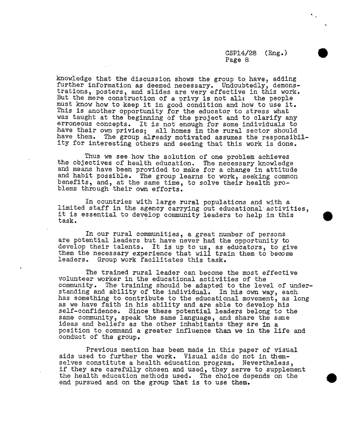## csP14*/*2s (Eng.) Page 8

a

knowledge that the discussion shows the group to have, adding further information as deemed necessary. Undoubtedly, demonstrations, posters, and slides are very effective in this work. But the mere construction of a privy is not all: the people must know how to keep it in good condition and how to use it. This is another opportunity for the educator to stress what was taught at the beginning of the project and to clarify any erroneous concepts. It is not enough for some individuals to have their own privies; all homes in the rural sector should have them. The group already motivated assumes the responsibility for interesting others and seeing that this work is done.

Thus we see how the solution of one problem achieves the objectives of health education. The necessary knowledge and means have been provided to make for a change in attitude and habit possible. The group learns to work, seeking common benefits, and, at the same time, to solve their health problems through their own efforts.

In countries with large rural populations and with a limited staff in the agency carrying out educational activities, it is essential to develop community leaders to help in this task.

In our rural communities, a great number of persons are potential leaders but have never had the opportunity to develop their talents. It is up to us, as educators, to give them the necessary experience that will train them to become leaders. Group work facilitates this task.

J

The trained rural leader can become the most effective volunteer worker in the educational activities of the The training should be adapted to the level of understanding and ability of the individual. In his own way, each has something to contribute to the educational movement, as long as we have faith in his ability and are able to develop his self-confidence. Since these potential leaders belong to the same community, speak the same language, and share the same ideas and beliefs as the other inhabitants they are in a position to command a greater influence than we in the life and conduct of the group.

Previous mention has been made in this paper of visual aids used to further the work. Visual aids do not in themselves constitute a health education program. Nevertheless, if they are carefully chosen and used, they serve to supplement the health education methods used. The choice depends on the end pursued and on the group that is to use them.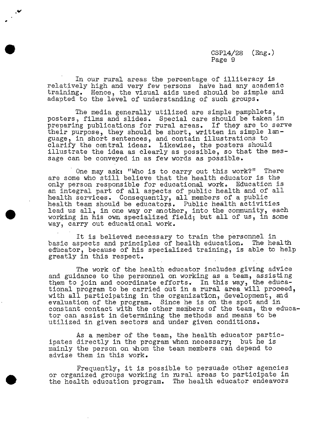In our rural areas the percentage of illiteracy is relatively high and very few persons have had any academic training. Hence, the visual aids used should be simple and adapted to the level of understanding of such groups.

The media generally utilized are simple pamphlets, posters, films and slides. Special care should be taken in preparing publications for rural areas. If they are to serve their purpose, they should be short, written in simple language, in short sentences, and contain illustrations to clarify the central ideas. Likewise, the posters should illustrate the idea as clearly as possible, so that the message can be conveyed in as few words as possible.

One may ask: "Who is to carry out this work?" There are some who still believe that the health educator is the only person responsible for educational work. Education is an integral part of all aspects of public health and of all health services. Consequently, all members of a public health team should be educators. Public health activities lead us all, in one way or another, into the community, each working in his own specialized field; but all of us, in some way, carry out educational work.

It is believed necessary to train the personnel in basic aspects and principles of health education. The health educator, because of his specialized training, is able to help greatly in this respect.

The work of the health educator includes giving advice and guidance to the personnel on working as a team, assisting them to join and coordinate efforts. In this way, the educational program to be carried out in a rural area will proceed, with all participating in the organization, development, and evaluation of the program. Since he is on the spot and in constant contact with the other members of the team, the educator can assist in determining the methods and means to be utilized in given sectors and under given conditions.

As a member of the team, the health educator participates directly in the program when necessary; but he is mainly the person on whom the team members can depend to advise them in this work.

Frequently, it is possible to persuade other agencies or organized groups working in rural areas to participate in the health education program. The health educator endeavors